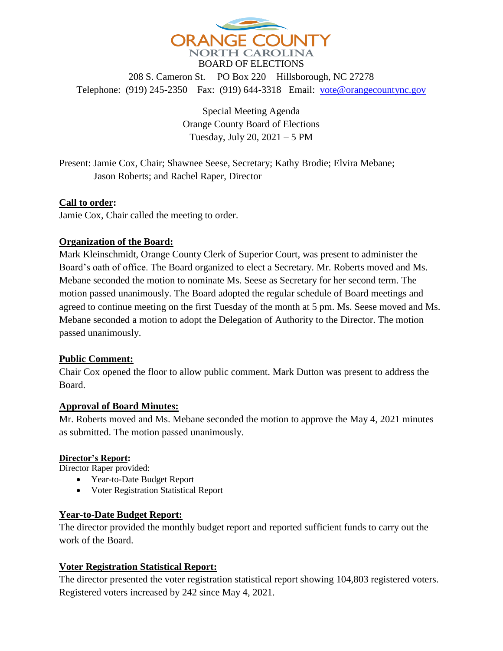

208 S. Cameron St. PO Box 220 Hillsborough, NC 27278 Telephone: (919) 245-2350 Fax: (919) 644-3318 Email: [vote@orangecountync.gov](mailto:vote@orangecountync.gov)

> Special Meeting Agenda Orange County Board of Elections Tuesday, July 20, 2021 – 5 PM

Present: Jamie Cox, Chair; Shawnee Seese, Secretary; Kathy Brodie; Elvira Mebane; Jason Roberts; and Rachel Raper, Director

## **Call to order:**

Jamie Cox, Chair called the meeting to order.

#### **Organization of the Board:**

Mark Kleinschmidt, Orange County Clerk of Superior Court, was present to administer the Board's oath of office. The Board organized to elect a Secretary. Mr. Roberts moved and Ms. Mebane seconded the motion to nominate Ms. Seese as Secretary for her second term. The motion passed unanimously. The Board adopted the regular schedule of Board meetings and agreed to continue meeting on the first Tuesday of the month at 5 pm. Ms. Seese moved and Ms. Mebane seconded a motion to adopt the Delegation of Authority to the Director. The motion passed unanimously.

#### **Public Comment:**

Chair Cox opened the floor to allow public comment. Mark Dutton was present to address the Board.

#### **Approval of Board Minutes:**

Mr. Roberts moved and Ms. Mebane seconded the motion to approve the May 4, 2021 minutes as submitted. The motion passed unanimously.

#### **Director's Report:**

Director Raper provided:

- Year-to-Date Budget Report
- Voter Registration Statistical Report

#### **Year-to-Date Budget Report:**

The director provided the monthly budget report and reported sufficient funds to carry out the work of the Board.

## **Voter Registration Statistical Report:**

The director presented the voter registration statistical report showing 104,803 registered voters. Registered voters increased by 242 since May 4, 2021.